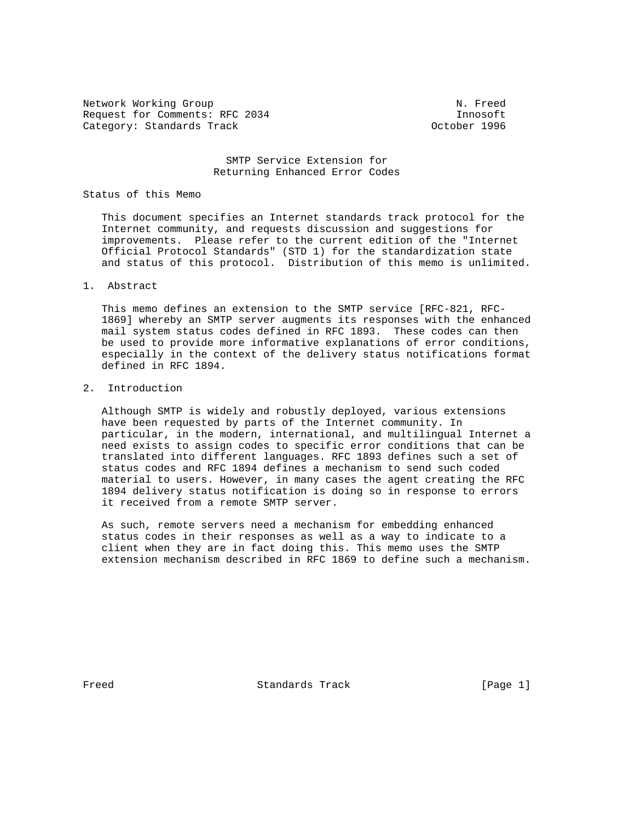Network Working Group Network Working Group Network Network Network Network Network Network Request for Comments: RFC 2034 Innosoft<br>Category: Standards Track density of the Category: Standards Track Category: Standards Track

# SMTP Service Extension for Returning Enhanced Error Codes

#### Status of this Memo

 This document specifies an Internet standards track protocol for the Internet community, and requests discussion and suggestions for improvements. Please refer to the current edition of the "Internet Official Protocol Standards" (STD 1) for the standardization state and status of this protocol. Distribution of this memo is unlimited.

# 1. Abstract

 This memo defines an extension to the SMTP service [RFC-821, RFC- 1869] whereby an SMTP server augments its responses with the enhanced mail system status codes defined in RFC 1893. These codes can then be used to provide more informative explanations of error conditions, especially in the context of the delivery status notifications format defined in RFC 1894.

### 2. Introduction

 Although SMTP is widely and robustly deployed, various extensions have been requested by parts of the Internet community. In particular, in the modern, international, and multilingual Internet a need exists to assign codes to specific error conditions that can be translated into different languages. RFC 1893 defines such a set of status codes and RFC 1894 defines a mechanism to send such coded material to users. However, in many cases the agent creating the RFC 1894 delivery status notification is doing so in response to errors it received from a remote SMTP server.

 As such, remote servers need a mechanism for embedding enhanced status codes in their responses as well as a way to indicate to a client when they are in fact doing this. This memo uses the SMTP extension mechanism described in RFC 1869 to define such a mechanism.

Freed Standards Track [Page 1]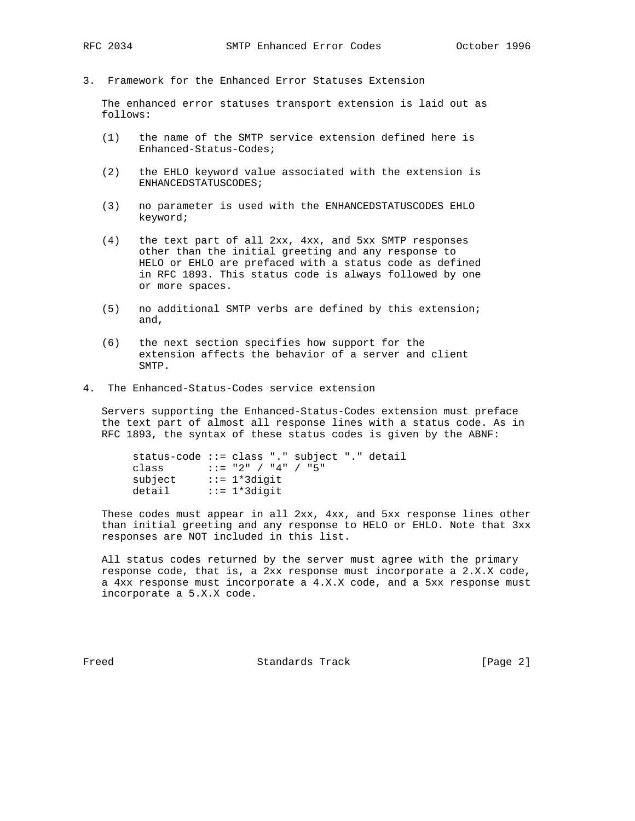- 
- 3. Framework for the Enhanced Error Statuses Extension

 The enhanced error statuses transport extension is laid out as follows:

- (1) the name of the SMTP service extension defined here is Enhanced-Status-Codes;
- (2) the EHLO keyword value associated with the extension is ENHANCEDSTATUSCODES;
- (3) no parameter is used with the ENHANCEDSTATUSCODES EHLO keyword;
- (4) the text part of all 2xx, 4xx, and 5xx SMTP responses other than the initial greeting and any response to HELO or EHLO are prefaced with a status code as defined in RFC 1893. This status code is always followed by one or more spaces.
- (5) no additional SMTP verbs are defined by this extension; and,
- (6) the next section specifies how support for the extension affects the behavior of a server and client SMTP.
- 4. The Enhanced-Status-Codes service extension

 Servers supporting the Enhanced-Status-Codes extension must preface the text part of almost all response lines with a status code. As in RFC 1893, the syntax of these status codes is given by the ABNF:

```
 status-code ::= class "." subject "." detail
      class ::= "2" / "4" / "5"
subject ::= 1*3digit
detail ::= 1*3digit
```
 These codes must appear in all 2xx, 4xx, and 5xx response lines other than initial greeting and any response to HELO or EHLO. Note that 3xx responses are NOT included in this list.

 All status codes returned by the server must agree with the primary response code, that is, a 2xx response must incorporate a 2.X.X code, a 4xx response must incorporate a 4.X.X code, and a 5xx response must incorporate a 5.X.X code.

Freed Standards Track [Page 2]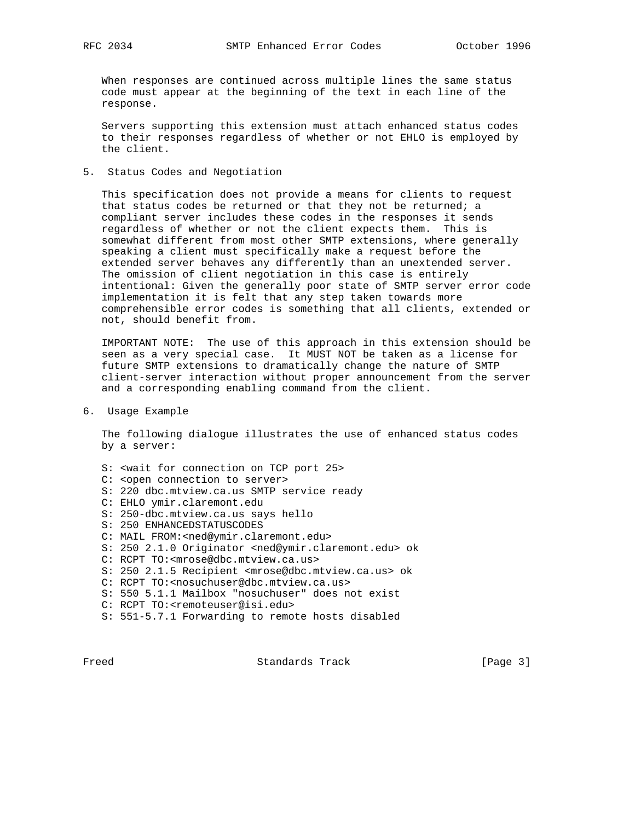When responses are continued across multiple lines the same status code must appear at the beginning of the text in each line of the response.

 Servers supporting this extension must attach enhanced status codes to their responses regardless of whether or not EHLO is employed by the client.

5. Status Codes and Negotiation

 This specification does not provide a means for clients to request that status codes be returned or that they not be returned; a compliant server includes these codes in the responses it sends regardless of whether or not the client expects them. This is somewhat different from most other SMTP extensions, where generally speaking a client must specifically make a request before the extended server behaves any differently than an unextended server. The omission of client negotiation in this case is entirely intentional: Given the generally poor state of SMTP server error code implementation it is felt that any step taken towards more comprehensible error codes is something that all clients, extended or not, should benefit from.

 IMPORTANT NOTE: The use of this approach in this extension should be seen as a very special case. It MUST NOT be taken as a license for future SMTP extensions to dramatically change the nature of SMTP client-server interaction without proper announcement from the server and a corresponding enabling command from the client.

### 6. Usage Example

 The following dialogue illustrates the use of enhanced status codes by a server:

- S: <wait for connection on TCP port 25> C: <open connection to server> S: 220 dbc.mtview.ca.us SMTP service ready C: EHLO ymir.claremont.edu S: 250-dbc.mtview.ca.us says hello S: 250 ENHANCEDSTATUSCODES C: MAIL FROM:<ned@ymir.claremont.edu> S: 250 2.1.0 Originator <ned@ymir.claremont.edu> ok C: RCPT TO:<mrose@dbc.mtview.ca.us> S: 250 2.1.5 Recipient <mrose@dbc.mtview.ca.us> ok C: RCPT TO:<nosuchuser@dbc.mtview.ca.us> S: 550 5.1.1 Mailbox "nosuchuser" does not exist
- C: RCPT TO:<remoteuser@isi.edu>
- S: 551-5.7.1 Forwarding to remote hosts disabled

Freed Standards Track [Page 3]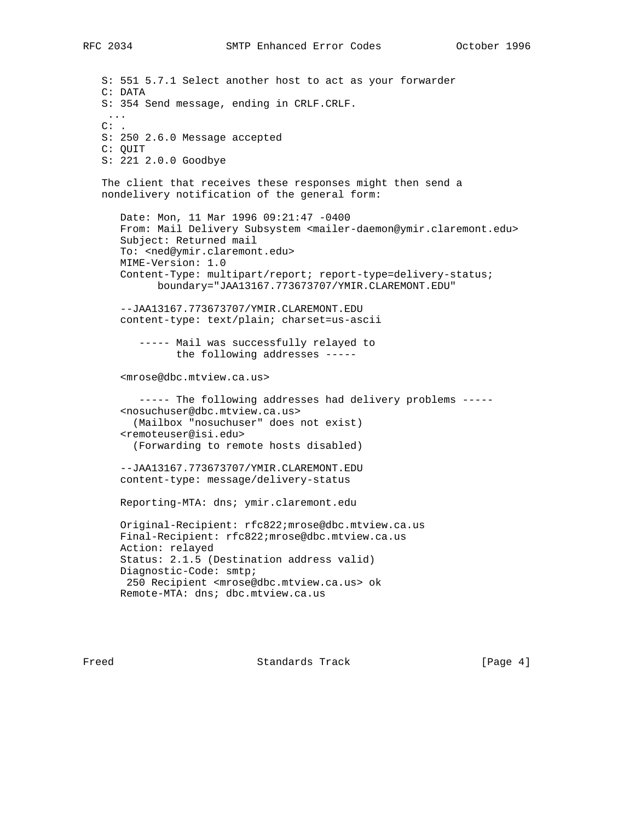```
 S: 551 5.7.1 Select another host to act as your forwarder
S: 354 Send message, ending in CRLF.CRLF.
S: 250 2.6.0 Message accepted
S: 221 2.0.0 Goodbye
```

```
 The client that receives these responses might then send a
nondelivery notification of the general form:
```

```
 Date: Mon, 11 Mar 1996 09:21:47 -0400
From: Mail Delivery Subsystem <mailer-daemon@ymir.claremont.edu>
Subject: Returned mail
To: <ned@ymir.claremont.edu>
MIME-Version: 1.0
Content-Type: multipart/report; report-type=delivery-status;
      boundary="JAA13167.773673707/YMIR.CLAREMONT.EDU"
```

```
 --JAA13167.773673707/YMIR.CLAREMONT.EDU
content-type: text/plain; charset=us-ascii
```

```
 ----- Mail was successfully relayed to
      the following addresses -----
```
<mrose@dbc.mtview.ca.us>

```
 ----- The following addresses had delivery problems -----
<nosuchuser@dbc.mtview.ca.us>
  (Mailbox "nosuchuser" does not exist)
<remoteuser@isi.edu>
 (Forwarding to remote hosts disabled)
```

```
 --JAA13167.773673707/YMIR.CLAREMONT.EDU
content-type: message/delivery-status
```
Reporting-MTA: dns; ymir.claremont.edu

```
 Original-Recipient: rfc822;mrose@dbc.mtview.ca.us
Final-Recipient: rfc822;mrose@dbc.mtview.ca.us
Action: relayed
Status: 2.1.5 (Destination address valid)
Diagnostic-Code: smtp;
250 Recipient <mrose@dbc.mtview.ca.us> ok
Remote-MTA: dns; dbc.mtview.ca.us
```
Freed Standards Track [Page 4]

C: DATA

C: QUIT

 ...  $\mathrm{C:}$  .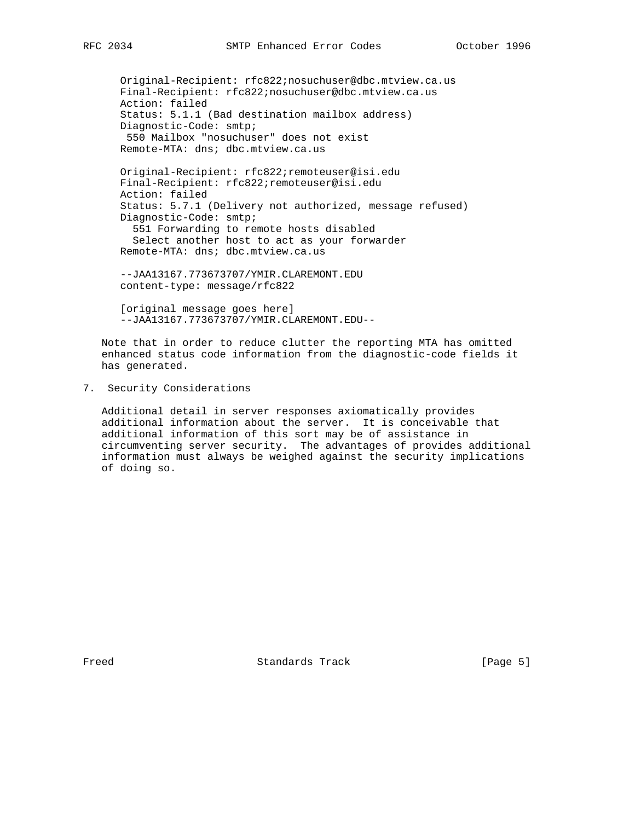Original-Recipient: rfc822;nosuchuser@dbc.mtview.ca.us Final-Recipient: rfc822;nosuchuser@dbc.mtview.ca.us Action: failed Status: 5.1.1 (Bad destination mailbox address) Diagnostic-Code: smtp; 550 Mailbox "nosuchuser" does not exist Remote-MTA: dns; dbc.mtview.ca.us Original-Recipient: rfc822;remoteuser@isi.edu Final-Recipient: rfc822;remoteuser@isi.edu

 Action: failed Status: 5.7.1 (Delivery not authorized, message refused) Diagnostic-Code: smtp; 551 Forwarding to remote hosts disabled Select another host to act as your forwarder Remote-MTA: dns; dbc.mtview.ca.us

 --JAA13167.773673707/YMIR.CLAREMONT.EDU content-type: message/rfc822

 [original message goes here] --JAA13167.773673707/YMIR.CLAREMONT.EDU--

 Note that in order to reduce clutter the reporting MTA has omitted enhanced status code information from the diagnostic-code fields it has generated.

7. Security Considerations

 Additional detail in server responses axiomatically provides additional information about the server. It is conceivable that additional information of this sort may be of assistance in circumventing server security. The advantages of provides additional information must always be weighed against the security implications of doing so.

Freed Standards Track [Page 5]